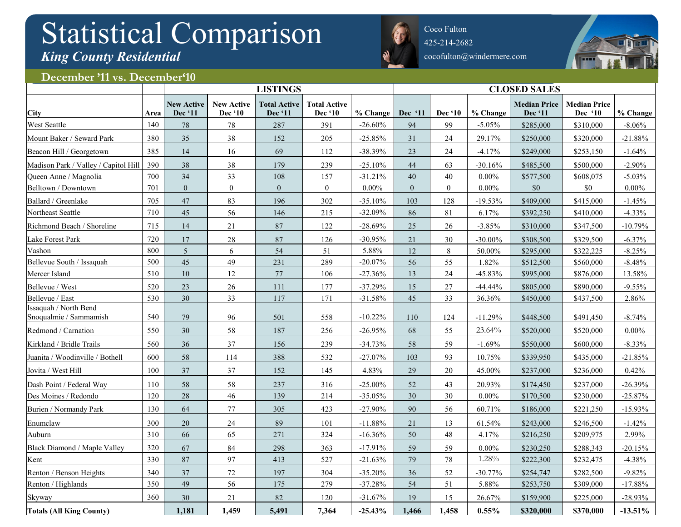## Statistical Comparison *King County Residential*



Coco Fulton 425-214-2682 cocofulton@windermere.com



## December '11 vs. December<sup>410</sup>

|                                                 |      | <b>LISTINGS</b>              |                              |                                |                                | <b>CLOSED SALES</b> |              |                |            |                                |                                |            |
|-------------------------------------------------|------|------------------------------|------------------------------|--------------------------------|--------------------------------|---------------------|--------------|----------------|------------|--------------------------------|--------------------------------|------------|
| City                                            | Area | <b>New Active</b><br>Dec '11 | <b>New Active</b><br>Dec '10 | <b>Total Active</b><br>Dec '11 | <b>Total Active</b><br>Dec '10 | % Change            | Dec '11      | <b>Dec</b> '10 | $%$ Change | <b>Median Price</b><br>Dec '11 | <b>Median Price</b><br>Dec '10 | % Change   |
| West Seattle                                    | 140  | 78                           | 78                           | 287                            | 391                            | $-26.60%$           | 94           | 99             | $-5.05%$   | \$285,000                      | \$310,000                      | $-8.06%$   |
| Mount Baker / Seward Park                       | 380  | 35                           | 38                           | 152                            | 205                            | $-25.85%$           | 31           | 24             | 29.17%     | \$250,000                      | \$320,000                      | $-21.88%$  |
| Beacon Hill / Georgetown                        | 385  | 14                           | 16                           | 69                             | 112                            | $-38.39%$           | 23           | 24             | $-4.17%$   | \$249,000                      | \$253,150                      | $-1.64%$   |
| Madison Park / Valley / Capitol Hill            | 390  | 38                           | 38                           | 179                            | 239                            | $-25.10%$           | 44           | 63             | $-30.16%$  | \$485,500                      | \$500,000                      | $-2.90\%$  |
| Queen Anne / Magnolia                           | 700  | 34                           | 33                           | 108                            | 157                            | $-31.21%$           | 40           | 40             | $0.00\%$   | \$577,500                      | \$608,075                      | $-5.03%$   |
| Belltown / Downtown                             | 701  | $\overline{0}$               | $\overline{0}$               | $\overline{0}$                 | $\boldsymbol{0}$               | $0.00\%$            | $\mathbf{0}$ | $\overline{0}$ | $0.00\%$   | \$0                            | \$0                            | $0.00\%$   |
| Ballard / Greenlake                             | 705  | 47                           | 83                           | 196                            | 302                            | $-35.10%$           | 103          | 128            | $-19.53%$  | \$409,000                      | \$415,000                      | $-1.45%$   |
| Northeast Seattle                               | 710  | 45                           | 56                           | 146                            | 215                            | $-32.09%$           | 86           | 81             | 6.17%      | \$392,250                      | \$410,000                      | $-4.33%$   |
| Richmond Beach / Shoreline                      | 715  | 14                           | $21\,$                       | 87                             | 122                            | $-28.69%$           | 25           | 26             | $-3.85%$   | \$310,000                      | \$347,500                      | $-10.79%$  |
| Lake Forest Park                                | 720  | 17                           | $28\,$                       | 87                             | 126                            | $-30.95%$           | 21           | 30             | $-30.00\%$ | \$308,500                      | \$329,500                      | $-6.37%$   |
| Vashon                                          | 800  | 5 <sup>5</sup>               | 6                            | 54                             | 51                             | 5.88%               | 12           | $8\,$          | $50.00\%$  | \$295,000                      | \$322,225                      | $-8.25%$   |
| Bellevue South / Issaquah                       | 500  | 45                           | 49                           | 231                            | 289                            | $-20.07%$           | 56           | 55             | 1.82%      | \$512,500                      | \$560,000                      | $-8.48%$   |
| Mercer Island                                   | 510  | 10                           | 12                           | 77                             | 106                            | $-27.36%$           | 13           | $24\,$         | $-45.83%$  | \$995,000                      | \$876,000                      | 13.58%     |
| Bellevue / West                                 | 520  | 23                           | 26                           | 111                            | 177                            | $-37.29%$           | 15           | 27             | $-44.44%$  | \$805,000                      | \$890,000                      | $-9.55%$   |
| Bellevue / East                                 | 530  | 30                           | 33                           | 117                            | 171                            | $-31.58%$           | 45           | 33             | 36.36%     | \$450,000                      | \$437,500                      | 2.86%      |
| Issaquah / North Bend<br>Snoqualmie / Sammamish | 540  | 79                           | 96                           | 501                            | 558                            | $-10.22%$           | 110          | 124            | $-11.29%$  | \$448,500                      | \$491,450                      | $-8.74%$   |
| Redmond / Carnation                             | 550  | 30                           | 58                           | 187                            | 256                            | $-26.95%$           | 68           | 55             | 23.64%     | \$520,000                      | \$520,000                      | $0.00\%$   |
| Kirkland / Bridle Trails                        | 560  | 36                           | 37                           | 156                            | 239                            | $-34.73%$           | 58           | 59             | $-1.69%$   | \$550,000                      | \$600,000                      | $-8.33\%$  |
| Juanita / Woodinville / Bothell                 | 600  | 58                           | 114                          | 388                            | 532                            | $-27.07%$           | 103          | 93             | 10.75%     | \$339,950                      | \$435,000                      | $-21.85%$  |
| Jovita / West Hill                              | 100  | 37                           | 37                           | 152                            | 145                            | 4.83%               | 29           | 20             | 45.00%     | \$237,000                      | \$236,000                      | 0.42%      |
| Dash Point / Federal Way                        | 110  | 58                           | 58                           | 237                            | 316                            | $-25.00\%$          | 52           | 43             | 20.93%     | \$174,450                      | \$237,000                      | $-26.39%$  |
| Des Moines / Redondo                            | 120  | 28                           | 46                           | 139                            | 214                            | $-35.05%$           | 30           | 30             | $0.00\%$   | \$170,500                      | \$230,000                      | $-25.87%$  |
| Burien / Normandy Park                          | 130  | 64                           | 77                           | 305                            | 423                            | $-27.90%$           | 90           | 56             | 60.71%     | \$186,000                      | \$221,250                      | $-15.93%$  |
| Enumclaw                                        | 300  | 20                           | $24\,$                       | 89                             | 101                            | $-11.88%$           | 21           | 13             | 61.54%     | \$243,000                      | \$246,500                      | $-1.42%$   |
| Auburn                                          | 310  | 66                           | 65                           | 271                            | 324                            | $-16.36%$           | 50           | 48             | 4.17%      | \$216,250                      | \$209,975                      | 2.99%      |
| Black Diamond / Maple Valley                    | 320  | 67                           | 84                           | 298                            | 363                            | $-17.91%$           | 59           | 59             | $0.00\%$   | \$230,250                      | \$288,343                      | $-20.15%$  |
| Kent                                            | 330  | 87                           | 97                           | 413                            | 527                            | $-21.63%$           | 79           | 78             | 1.28%      | \$222,300                      | \$232,475                      | $-4.38%$   |
| Renton / Benson Heights                         | 340  | 37                           | $72\,$                       | 197                            | 304                            | $-35.20%$           | 36           | $52\,$         | $-30.77%$  | \$254,747                      | \$282,500                      | $-9.82%$   |
| Renton / Highlands                              | 350  | 49                           | 56                           | 175                            | 279                            | $-37.28%$           | 54           | 51             | 5.88%      | \$253,750                      | \$309,000                      | $-17.88%$  |
| Skyway                                          | 360  | 30                           | 21                           | 82                             | 120                            | $-31.67%$           | 19           | 15             | 26.67%     | \$159,900                      | \$225,000                      | $-28.93%$  |
| <b>Totals (All King County)</b>                 |      | 1,181                        | 1,459                        | 5,491                          | 7,364                          | $-25.43%$           | 1,466        | 1,458          | 0.55%      | \$320,000                      | \$370,000                      | $-13.51\%$ |